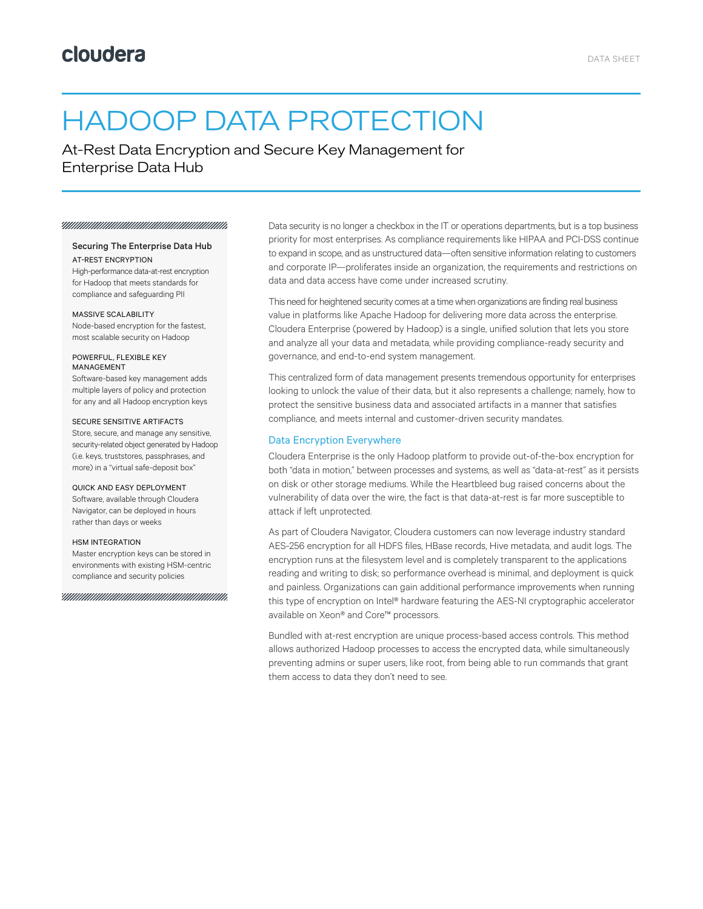# HADOOP DATA PROTECTION

At-Rest Data Encryption and Secure Key Management for Enterprise Data Hub

#### 

# Securing The Enterprise Data Hub

AT-REST ENCRYPTION High-performance data-at-rest encryption for Hadoop that meets standards for compliance and safeguarding PII

#### MASSIVE SCALABILITY

Node-based encryption for the fastest, most scalable security on Hadoop

#### POWERFUL, FLEXIBLE KEY MANAGEMENT

Software-based key management adds multiple layers of policy and protection for any and all Hadoop encryption keys

#### SECURE SENSITIVE ARTIFACTS

Store, secure, and manage any sensitive, security-related object generated by Hadoop (i.e. keys, truststores, passphrases, and more) in a "virtual safe-deposit box"

#### QUICK AND EASY DEPLOYMENT

Software, available through Cloudera Navigator, can be deployed in hours rather than days or weeks

#### HSM INTEGRATION

Master encryption keys can be stored in environments with existing HSM-centric compliance and security policies

YUUUUUUUUUUUUUUUUUUUUUUUUUUUUUU

Data security is no longer a checkbox in the IT or operations departments, but is a top business priority for most enterprises. As compliance requirements like HIPAA and PCI-DSS continue to expand in scope, and as unstructured data—often sensitive information relating to customers and corporate IP—proliferates inside an organization, the requirements and restrictions on data and data access have come under increased scrutiny.

This need for heightened security comes at a time when organizations are finding real business value in platforms like Apache Hadoop for delivering more data across the enterprise. Cloudera Enterprise (powered by Hadoop) is a single, unified solution that lets you store and analyze all your data and metadata, while providing compliance-ready security and governance, and end-to-end system management.

This centralized form of data management presents tremendous opportunity for enterprises looking to unlock the value of their data, but it also represents a challenge; namely, how to protect the sensitive business data and associated artifacts in a manner that satisfies compliance, and meets internal and customer-driven security mandates.

#### Data Encryption Everywhere

Cloudera Enterprise is the only Hadoop platform to provide out-of-the-box encryption for both "data in motion," between processes and systems, as well as "data-at-rest" as it persists on disk or other storage mediums. While the Heartbleed bug raised concerns about the vulnerability of data over the wire, the fact is that data-at-rest is far more susceptible to attack if left unprotected.

As part of Cloudera Navigator, Cloudera customers can now leverage industry standard AES-256 encryption for all HDFS files, HBase records, Hive metadata, and audit logs. The encryption runs at the filesystem level and is completely transparent to the applications reading and writing to disk; so performance overhead is minimal, and deployment is quick and painless. Organizations can gain additional performance improvements when running this type of encryption on Intel® hardware featuring the AES-NI cryptographic accelerator available on Xeon® and Core™ processors.

Bundled with at-rest encryption are unique process-based access controls. This method allows authorized Hadoop processes to access the encrypted data, while simultaneously preventing admins or super users, like root, from being able to run commands that grant them access to data they don't need to see.